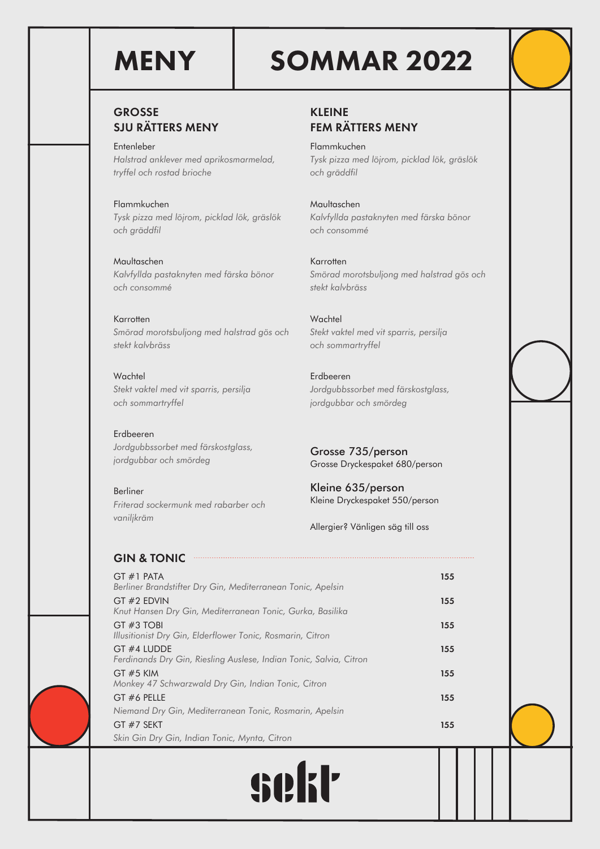# MENY SOMMAR 2022

# GROSSE SJU RÄTTERS MENY

Entenleber *Halstrad anklever med aprikosmarmelad, tryffel och rostad brioche*

Flammkuchen *Tysk pizza med löjrom, picklad lök, gräslök och gräddfil*

Maultaschen *Kalvfyllda pastaknyten med färska bönor och consommé*

# Karrotten *Smörad morotsbuljong med halstrad gös och*

*stekt kalvbräss*

**Wachtel** *Stekt vaktel med vit sparris, persilja och sommartryffel*

Erdbeeren *Jordgubbssorbet med färskostglass, jordgubbar och smördeg*

Berliner *Friterad sockermunk med rabarber och vaniljkräm*

KLEINE FEM RÄTTERS MENY

Flammkuchen *Tysk pizza med löjrom, picklad lök, gräslök och gräddfil*

Maultaschen *Kalvfyllda pastaknyten med färska bönor och consommé*

Karrotten *Smörad morotsbuljong med halstrad gös och stekt kalvbräss*

**Wachtel** *Stekt vaktel med vit sparris, persilja och sommartryffel*

Erdbeeren *Jordgubbssorbet med färskostglass, jordgubbar och smördeg*

Grosse 735/person Grosse Dryckespaket 680/person

Kleine 635/person Kleine Dryckespaket 550/person

Allergier? Vänligen säg till oss

. . . . . . . . . . . .

# GIN & TONIC

| $GT #1$ PATA<br>155<br>Berliner Brandstifter Dry Gin, Mediterranean Tonic, Apelsin<br>155<br>155<br>155<br>155<br>155<br>155                                                                                                                                                                                                                                                                          |  |
|-------------------------------------------------------------------------------------------------------------------------------------------------------------------------------------------------------------------------------------------------------------------------------------------------------------------------------------------------------------------------------------------------------|--|
| GT #2 EDVIN<br>Knut Hansen Dry Gin, Mediterranean Tonic, Gurka, Basilika<br>GT#3 TOBI<br>Illusitionist Dry Gin, Elderflower Tonic, Rosmarin, Citron<br>GT #4 LUDDE<br>Ferdinands Dry Gin, Riesling Auslese, Indian Tonic, Salvia, Citron<br>GT #5 KIM<br>Monkey 47 Schwarzwald Dry Gin, Indian Tonic, Citron<br>GT #6 PELLE<br>Niemand Dry Gin, Mediterranean Tonic, Rosmarin, Apelsin<br>$GT#7$ SEKT |  |
|                                                                                                                                                                                                                                                                                                                                                                                                       |  |
|                                                                                                                                                                                                                                                                                                                                                                                                       |  |
|                                                                                                                                                                                                                                                                                                                                                                                                       |  |
|                                                                                                                                                                                                                                                                                                                                                                                                       |  |
|                                                                                                                                                                                                                                                                                                                                                                                                       |  |
|                                                                                                                                                                                                                                                                                                                                                                                                       |  |
|                                                                                                                                                                                                                                                                                                                                                                                                       |  |
| Skin Gin Dry Gin, Indian Tonic, Mynta, Citron                                                                                                                                                                                                                                                                                                                                                         |  |



 $\begin{minipage}{0.5\textwidth} \begin{tabular}{|c|c|c|c|c|} \hline \multicolumn{1}{|c|}{\textbf{1}} & \multicolumn{1}{|c|}{\textbf{1}} & \multicolumn{1}{|c|}{\textbf{1}} & \multicolumn{1}{|c|}{\textbf{1}} & \multicolumn{1}{|c|}{\textbf{1}} & \multicolumn{1}{|c|}{\textbf{1}} & \multicolumn{1}{|c|}{\textbf{1}} & \multicolumn{1}{|c|}{\textbf{1}} & \multicolumn{1}{|c|}{\textbf{1}} & \multicolumn{1}{|c|}{\textbf{1}} & \multicolumn{$